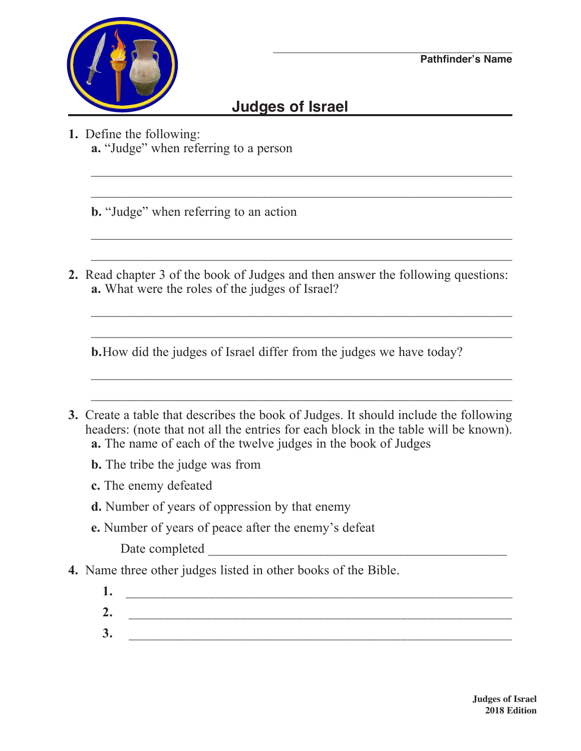## **Judges of Israel**

 $\_$  , and the contribution of the contribution of  $\mathcal{L}_\mathcal{A}$  , and the contribution of  $\mathcal{L}_\mathcal{A}$ 

 $\_$  , and the contribution of the contribution of  $\mathcal{L}_\mathcal{A}$  , and the contribution of  $\mathcal{L}_\mathcal{A}$ 

 $\_$  , and the contribution of the contribution of  $\mathcal{L}_\mathcal{A}$  , and the contribution of  $\mathcal{L}_\mathcal{A}$ 

\_\_\_\_\_\_\_\_\_\_\_\_\_\_\_\_\_\_\_\_\_\_\_\_\_\_\_\_\_\_\_\_\_\_\_\_\_\_\_\_\_\_\_\_\_\_\_\_\_\_\_\_\_\_\_\_\_\_\_\_\_\_\_

 $\_$  , and the contribution of the contribution of  $\mathcal{L}_\mathcal{A}$  , and the contribution of  $\mathcal{L}_\mathcal{A}$ 

 $\_$  , and the contribution of the contribution of  $\mathcal{L}_\mathcal{A}$  , and the contribution of  $\mathcal{L}_\mathcal{A}$ 

\_\_\_\_\_\_\_\_\_\_\_\_\_\_\_\_\_\_\_\_\_\_\_\_\_\_\_\_\_\_\_\_\_\_\_\_\_\_\_\_\_\_\_\_\_\_\_\_\_\_\_\_\_\_\_\_\_\_\_\_\_\_\_

 $\_$  , and the contribution of the contribution of  $\mathcal{L}_\mathcal{A}$  , and the contribution of  $\mathcal{L}_\mathcal{A}$ 

- **1.** Define the following:
	- **a.** "Judge" when referring to a person
	- **b.** "Judge" when referring to an action
- **2.** Read chapter 3 of the book of Judges and then answer the following questions: **a.** What were the roles of the judges of Israel?

**b.**How did the judges of Israel differ from the judges we have today?

- **3.** Create a table that describes the book of Judges. It should include the following headers: (note that not all the entries for each block in the table will be known). **a.** The name of each of the twelve judges in the book of Judges
	- **b.** The tribe the judge was from
	- **c.** The enemy defeated
	- **d.** Number of years of oppression by that enemy
	- **e.** Number of years of peace after the enemy's defeat

Date completed \_\_\_\_\_\_\_\_\_\_\_\_\_\_\_\_\_\_\_\_\_\_\_\_\_\_\_\_\_\_\_\_\_\_\_\_\_\_\_\_\_\_\_\_\_

- **4.** Name three other judges listed in other books of the Bible.
	- **1.** \_\_\_\_\_\_\_\_\_\_\_\_\_\_\_\_\_\_\_\_\_\_\_\_\_\_\_\_\_\_\_\_\_\_\_\_\_\_\_\_\_\_\_\_\_\_\_\_\_\_\_\_\_\_\_\_
	- **2.** \_\_\_\_\_\_\_\_\_\_\_\_\_\_\_\_\_\_\_\_\_\_\_\_\_\_\_\_\_\_\_\_\_\_\_\_\_\_\_\_\_\_\_\_\_\_\_\_\_\_\_\_\_\_\_ **3.** \_\_\_\_\_\_\_\_\_\_\_\_\_\_\_\_\_\_\_\_\_\_\_\_\_\_\_\_\_\_\_\_\_\_\_\_\_\_\_\_\_\_\_\_\_\_\_\_\_\_\_\_\_\_\_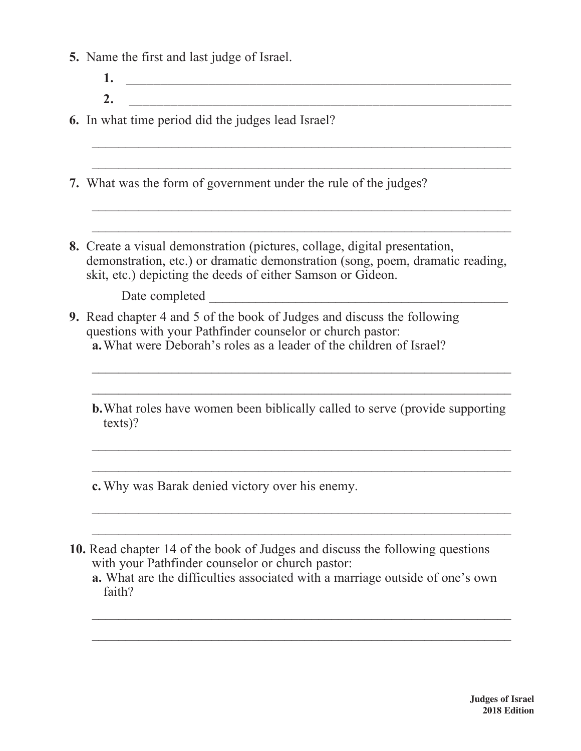|  | 5. Name the first and last judge of Israel. |  |  |  |  |  |  |  |  |
|--|---------------------------------------------|--|--|--|--|--|--|--|--|
|--|---------------------------------------------|--|--|--|--|--|--|--|--|

**1.** \_\_\_\_\_\_\_\_\_\_\_\_\_\_\_\_\_\_\_\_\_\_\_\_\_\_\_\_\_\_\_\_\_\_\_\_\_\_\_\_\_\_\_\_\_\_\_\_\_\_\_\_\_\_\_\_ **2.** \_\_\_\_\_\_\_\_\_\_\_\_\_\_\_\_\_\_\_\_\_\_\_\_\_\_\_\_\_\_\_\_\_\_\_\_\_\_\_\_\_\_\_\_\_\_\_\_\_\_\_\_\_\_\_

 $\_$  , and the contribution of the contribution of  $\mathcal{L}_\mathcal{A}$  , and the contribution of  $\mathcal{L}_\mathcal{A}$  , and the contribution of  $\mathcal{L}_\mathcal{A}$ 

 $\_$  , and the set of the set of the set of the set of the set of the set of the set of the set of the set of the set of the set of the set of the set of the set of the set of the set of the set of the set of the set of th

 $\_$  , and the set of the set of the set of the set of the set of the set of the set of the set of the set of the set of the set of the set of the set of the set of the set of the set of the set of the set of the set of th

\_\_\_\_\_\_\_\_\_\_\_\_\_\_\_\_\_\_\_\_\_\_\_\_\_\_\_\_\_\_\_\_\_\_\_\_\_\_\_\_\_\_\_\_\_\_\_\_\_\_\_\_\_\_\_\_\_\_\_\_\_\_\_

**6.** In what time period did the judges lead Israel?

- **7.** What was the form of government under the rule of the judges?
- **8.** Create a visual demonstration (pictures, collage, digital presentation, demonstration, etc.) or dramatic demonstration (song, poem, dramatic reading, skit, etc.) depicting the deeds of either Samson or Gideon.

Date completed  $\Box$ 

- **9.** Read chapter 4 and 5 of the book of Judges and discuss the following questions with your Pathfinder counselor or church pastor: **a.**What were Deborah's roles as a leader of the children of Israel?
	- **b.**What roles have women been biblically called to serve (provide supporting texts)?

 $\_$  , and the contribution of the contribution of  $\mathcal{L}_\mathcal{A}$  , and the contribution of  $\mathcal{L}_\mathcal{A}$  , and the contribution of  $\mathcal{L}_\mathcal{A}$ 

 $\_$  , and the set of the set of the set of the set of the set of the set of the set of the set of the set of the set of the set of the set of the set of the set of the set of the set of the set of the set of the set of th

 $\_$  , and the set of the set of the set of the set of the set of the set of the set of the set of the set of the set of the set of the set of the set of the set of the set of the set of the set of the set of the set of th

\_\_\_\_\_\_\_\_\_\_\_\_\_\_\_\_\_\_\_\_\_\_\_\_\_\_\_\_\_\_\_\_\_\_\_\_\_\_\_\_\_\_\_\_\_\_\_\_\_\_\_\_\_\_\_\_\_\_\_\_\_\_\_

 $\_$  , and the set of the set of the set of the set of the set of the set of the set of the set of the set of the set of the set of the set of the set of the set of the set of the set of the set of the set of the set of th

 $\_$  , and the set of the set of the set of the set of the set of the set of the set of the set of the set of the set of the set of the set of the set of the set of the set of the set of the set of the set of the set of th

**c.** Why was Barak denied victory over his enemy.

**10.** Read chapter 14 of the book of Judges and discuss the following questions with your Pathfinder counselor or church pastor:

**a.** What are the difficulties associated with a marriage outside of one's own faith?

 $\_$  , and the set of the set of the set of the set of the set of the set of the set of the set of the set of the set of the set of the set of the set of the set of the set of the set of the set of the set of the set of th

 $\_$  , and the set of the set of the set of the set of the set of the set of the set of the set of the set of the set of the set of the set of the set of the set of the set of the set of the set of the set of the set of th